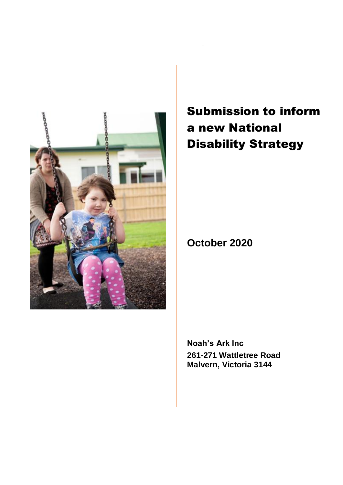

Submission to inform a new National Disability Strategy

**October 2020**

**Noah's Ark Inc 261-271 Wattletree Road Malvern, Victoria 3144**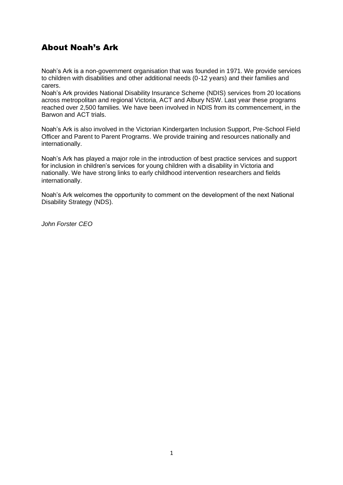# About Noah's Ark

Noah's Ark is a non-government organisation that was founded in 1971. We provide services to children with disabilities and other additional needs (0-12 years) and their families and carers.

Noah's Ark provides National Disability Insurance Scheme (NDIS) services from 20 locations across metropolitan and regional Victoria, ACT and Albury NSW. Last year these programs reached over 2,500 families. We have been involved in NDIS from its commencement, in the Barwon and ACT trials.

Noah's Ark is also involved in the Victorian Kindergarten Inclusion Support, Pre-School Field Officer and Parent to Parent Programs. We provide training and resources nationally and internationally.

Noah's Ark has played a major role in the introduction of best practice services and support for inclusion in children's services for young children with a disability in Victoria and nationally. We have strong links to early childhood intervention researchers and fields internationally.

Noah's Ark welcomes the opportunity to comment on the development of the next National Disability Strategy (NDS).

*John Forster CEO*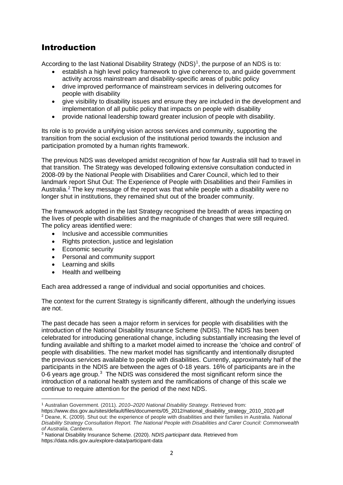# Introduction

According to the last National Disability Strategy (NDS)<sup>1</sup>, the purpose of an NDS is to:

- establish a high level policy framework to give coherence to, and guide government activity across mainstream and disability-specific areas of public policy
- drive improved performance of mainstream services in delivering outcomes for people with disability
- give visibility to disability issues and ensure they are included in the development and implementation of all public policy that impacts on people with disability
- provide national leadership toward greater inclusion of people with disability.

Its role is to provide a unifying vision across services and community, supporting the transition from the social exclusion of the institutional period towards the inclusion and participation promoted by a human rights framework.

The previous NDS was developed amidst recognition of how far Australia still had to travel in that transition. The Strategy was developed following extensive consultation conducted in 2008-09 by the National People with Disabilities and Carer Council, which led to their landmark report Shut Out: The Experience of People with Disabilities and their Families in Australia. <sup>2</sup> The key message of the report was that while people with a disability were no longer shut in institutions, they remained shut out of the broader community.

The framework adopted in the last Strategy recognised the breadth of areas impacting on the lives of people with disabilities and the magnitude of changes that were still required. The policy areas identified were:

- Inclusive and accessible communities
- Rights protection, justice and legislation
- Economic security
- Personal and community support
- Learning and skills
- Health and wellbeing

Each area addressed a range of individual and social opportunities and choices.

The context for the current Strategy is significantly different, although the underlying issues are not.

The past decade has seen a major reform in services for people with disabilities with the introduction of the National Disability Insurance Scheme (NDIS). The NDIS has been celebrated for introducing generational change, including substantially increasing the level of funding available and shifting to a market model aimed to increase the 'choice and control' of people with disabilities. The new market model has significantly and intentionally disrupted the previous services available to people with disabilities. Currently, approximately half of the participants in the NDIS are between the ages of 0-18 years. 16% of participants are in the 0-6 years age group. $3$  The NDIS was considered the most significant reform since the introduction of a national health system and the ramifications of change of this scale we continue to require attention for the period of the next NDS.

<sup>2</sup> Deane, K. (2009). Shut out: the experience of people with disabilities and their families in Australia. *National* 

<sup>1</sup> Australian Government. (2011). *2010–2020 National Disability Strategy*. Retrieved from:

https://www.dss.gov.au/sites/default/files/documents/05\_2012/national\_disability\_strategy\_2010\_2020.pdf

*Disability Strategy Consultation Report. The National People with Disabilities and Carer Council: Commonwealth of Australia, Canberra*.

<sup>3</sup> National Disability Insurance Scheme. (2020). *NDIS participant data*. Retrieved from https://data.ndis.gov.au/explore-data/participant-data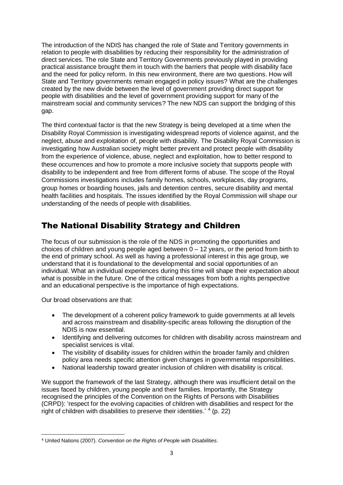The introduction of the NDIS has changed the role of State and Territory governments in relation to people with disabilities by reducing their responsibility for the administration of direct services. The role State and Territory Governments previously played in providing practical assistance brought them in touch with the barriers that people with disability face and the need for policy reform. In this new environment, there are two questions. How will State and Territory governments remain engaged in policy issues? What are the challenges created by the new divide between the level of government providing direct support for people with disabilities and the level of government providing support for many of the mainstream social and community services? The new NDS can support the bridging of this gap.

The third contextual factor is that the new Strategy is being developed at a time when the Disability Royal Commission is investigating widespread reports of violence against, and the neglect, abuse and exploitation of, people with disability. The Disability Royal Commission is investigating how Australian society might better prevent and protect people with disability from the experience of violence, abuse, neglect and exploitation, how to better respond to these occurrences and how to promote a more inclusive society that supports people with disability to be independent and free from different forms of abuse. The scope of the Royal Commissions investigations includes family homes, schools, workplaces, day programs, group homes or boarding houses, jails and detention centres, secure disability and mental health facilities and hospitals. The issues identified by the Royal Commission will shape our understanding of the needs of people with disabilities.

# The National Disability Strategy and Children

The focus of our submission is the role of the NDS in promoting the opportunities and choices of children and young people aged between  $0 - 12$  years, or the period from birth to the end of primary school. As well as having a professional interest in this age group, we understand that it is foundational to the developmental and social opportunities of an individual. What an individual experiences during this time will shape their expectation about what is possible in the future. One of the critical messages from both a rights perspective and an educational perspective is the importance of high expectations.

Our broad observations are that:

- The development of a coherent policy framework to quide governments at all levels and across mainstream and disability-specific areas following the disruption of the NDIS is now essential.
- Identifying and delivering outcomes for children with disability across mainstream and specialist services is vital.
- The visibility of disability issues for children within the broader family and children policy area needs specific attention given changes in governmental responsibilities.
- National leadership toward greater inclusion of children with disability is critical.

We support the framework of the last Strategy, although there was insufficient detail on the issues faced by children, young people and their families. Importantly, the Strategy recognised the principles of the Convention on the Rights of Persons with Disabilities (CRPD): 'respect for the evolving capacities of children with disabilities and respect for the right of children with disabilities to preserve their identities.<sup>'4</sup> (p. 22)

<sup>4</sup> United Nations (2007). *Convention on the Rights of People with Disabilities*.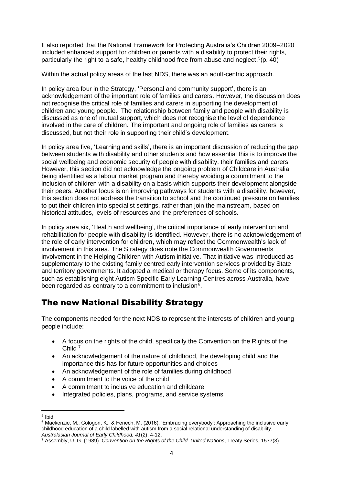It also reported that the National Framework for Protecting Australia's Children 2009–2020 included enhanced support for children or parents with a disability to protect their rights, particularly the right to a safe, healthy childhood free from abuse and neglect.<sup>5</sup>(p. 40)

Within the actual policy areas of the last NDS, there was an adult-centric approach.

In policy area four in the Strategy, 'Personal and community support', there is an acknowledgement of the important role of families and carers. However, the discussion does not recognise the critical role of families and carers in supporting the development of children and young people. The relationship between family and people with disability is discussed as one of mutual support, which does not recognise the level of dependence involved in the care of children. The important and ongoing role of families as carers is discussed, but not their role in supporting their child's development.

In policy area five, 'Learning and skills', there is an important discussion of reducing the gap between students with disability and other students and how essential this is to improve the social wellbeing and economic security of people with disability, their families and carers. However, this section did not acknowledge the ongoing problem of Childcare in Australia being identified as a labour market program and thereby avoiding a commitment to the inclusion of children with a disability on a basis which supports their development alongside their peers. Another focus is on improving pathways for students with a disability, however, this section does not address the transition to school and the continued pressure on families to put their children into specialist settings, rather than join the mainstream, based on historical attitudes, levels of resources and the preferences of schools.

In policy area six, 'Health and wellbeing', the critical importance of early intervention and rehabilitation for people with disability is identified. However, there is no acknowledgement of the role of early intervention for children, which may reflect the Commonwealth's lack of involvement in this area. The Strategy does note the Commonwealth Governments involvement in the Helping Children with Autism initiative. That initiative was introduced as supplementary to the existing family centred early intervention services provided by State and territory governments. It adopted a medical or therapy focus. Some of its components, such as establishing eight Autism Specific Early Learning Centres across Australia, have been regarded as contrary to a commitment to inclusion $6$ .

# The new National Disability Strategy

The components needed for the next NDS to represent the interests of children and young people include:

- A focus on the rights of the child, specifically the Convention on the Rights of the Child<sup>7</sup>
- An acknowledgement of the nature of childhood, the developing child and the importance this has for future opportunities and choices
- An acknowledgement of the role of families during childhood
- A commitment to the voice of the child
- A commitment to inclusive education and childcare
- Integrated policies, plans, programs, and service systems

<sup>5</sup> Ibid

<sup>6</sup> Mackenzie, M., Cologon, K., & Fenech, M. (2016). 'Embracing everybody': Approaching the inclusive early childhood education of a child labelled with autism from a social relational understanding of disability. *Australasian Journal of Early Childhood, 41*(2), 4-12.

<sup>7</sup> Assembly, U. G. (1989). *Convention on the Rights of the Child. United Nations*, Treaty Series, 1577(3).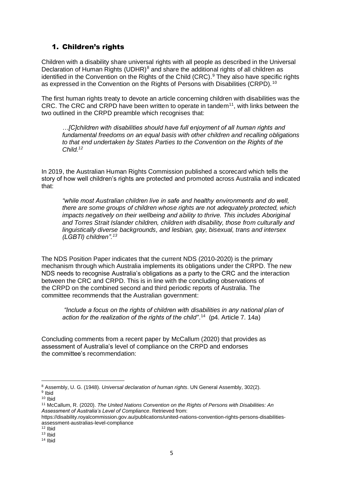# 1. Children's rights

Children with a disability share universal rights with all people as described in the Universal Declaration of Human Rights (UDHR)<sup>8</sup> and share the additional rights of all children as identified in the Convention on the Rights of the Child (CRC).<sup>9</sup> They also have specific rights as expressed in the Convention on the Rights of Persons with Disabilities (CRPD).  $10$ 

The first human rights treaty to devote an article concerning children with disabilities was the CRC. The CRC and CRPD have been written to operate in tandem<sup>11</sup>, with links between the two outlined in the CRPD preamble which recognises that:

*…[C]children with disabilities should have full enjoyment of all human rights and fundamental freedoms on an equal basis with other children and recalling obligations to that end undertaken by States Parties to the Convention on the Rights of the Child.<sup>12</sup>*

In 2019, the Australian Human Rights Commission published a scorecard which tells the story of how well children's rights are protected and promoted across Australia and indicated that:

*"while most Australian children live in safe and healthy environments and do well, there are some groups of children whose rights are not adequately protected, which impacts negatively on their wellbeing and ability to thrive. This includes Aboriginal and Torres Strait Islander children, children with disability, those from culturally and linguistically diverse backgrounds, and lesbian, gay, bisexual, trans and intersex (LGBTI) children".<sup>13</sup>*

The NDS Position Paper indicates that the current NDS (2010-2020) is the primary mechanism through which Australia implements its obligations under the CRPD. The new NDS needs to recognise Australia's obligations as a party to the CRC and the interaction between the CRC and CRPD. This is in line with the concluding observations of the CRPD on the combined second and third periodic reports of Australia. The committee recommends that the Australian government:

*"Include a focus on the rights of children with disabilities in any national plan of*  action for the realization of the rights of the child".<sup>14</sup> (p4. Article 7. 14a)

Concluding comments from a recent paper by McCallum (2020) that provides as assessment of Australia's level of compliance on the CRPD and endorses the committee's recommendation:

<sup>8</sup> Assembly, U. G. (1948). *Universal declaration of human rights*. UN General Assembly, 302(2). <sup>9</sup> Ibid

<sup>10</sup> Ibid

<sup>11</sup> McCallum, R. (2020). *The United Nations Convention on the Rights of Persons with Disabilities: An Assessment of Australia's Level of Compliance*. Retrieved from:

https://disability.royalcommission.gov.au/publications/united-nations-convention-rights-persons-disabilitiesassessment-australias-level-compliance

 $12$  Ibid

<sup>13</sup> Ibid

<sup>14</sup> Ibid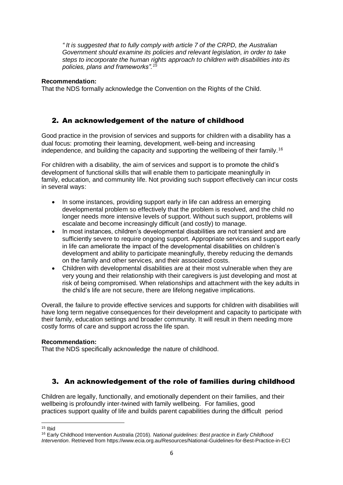*" It is suggested that to fully comply with article 7 of the CRPD, the Australian Government should examine its policies and relevant legislation, in order to take steps to incorporate the human rights approach to children with disabilities into its policies, plans and frameworks".<sup>15</sup>*

### **Recommendation:**

That the NDS formally acknowledge the Convention on the Rights of the Child.

# 2. An acknowledgement of the nature of childhood

Good practice in the provision of services and supports for children with a disability has a dual focus: promoting their learning, development, well-being and increasing independence, and building the capacity and supporting the wellbeing of their family.<sup>16</sup>

For children with a disability, the aim of services and support is to promote the child's development of functional skills that will enable them to participate meaningfully in family, education, and community life. Not providing such support effectively can incur costs in several ways:

- In some instances, providing support early in life can address an emerging developmental problem so effectively that the problem is resolved, and the child no longer needs more intensive levels of support. Without such support, problems will escalate and become increasingly difficult (and costly) to manage.
- In most instances, children's developmental disabilities are not transient and are sufficiently severe to require ongoing support. Appropriate services and support early in life can ameliorate the impact of the developmental disabilities on children's development and ability to participate meaningfully, thereby reducing the demands on the family and other services, and their associated costs.
- Children with developmental disabilities are at their most vulnerable when they are very young and their relationship with their caregivers is just developing and most at risk of being compromised. When relationships and attachment with the key adults in the child's life are not secure, there are lifelong negative implications.

Overall, the failure to provide effective services and supports for children with disabilities will have long term negative consequences for their development and capacity to participate with their family, education settings and broader community. It will result in them needing more costly forms of care and support across the life span.

### **Recommendation:**

That the NDS specifically acknowledge the nature of childhood.

# 3. An acknowledgement of the role of families during childhood

Children are legally, functionally, and emotionally dependent on their families, and their wellbeing is profoundly inter-twined with family wellbeing. For families, good practices support quality of life and builds parent capabilities during the difficult period

 $15$  Ibid

<sup>16</sup> Early Childhood Intervention Australia (2016). *National guidelines: Best practice in Early Childhood Intervention*. Retrieved from https://www.ecia.org.au/Resources/National-Guidelines-for-Best-Practice-in-ECI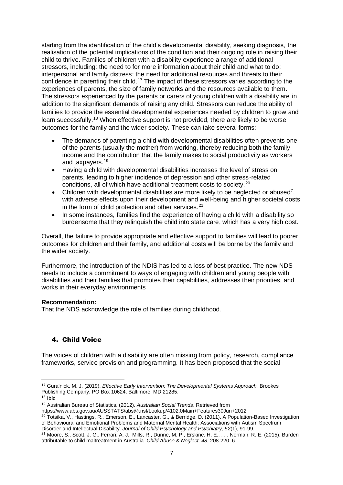starting from the identification of the child's developmental disability, seeking diagnosis, the realisation of the potential implications of the condition and their ongoing role in raising their child to thrive. Families of children with a disability experience a range of additional stressors, including: the need to for more information about their child and what to do; interpersonal and family distress; the need for additional resources and threats to their confidence in parenting their child.<sup>17</sup> The impact of these stressors varies according to the experiences of parents, the size of family networks and the resources available to them. The stressors experienced by the parents or carers of young children with a disability are in addition to the significant demands of raising any child. Stressors can reduce the ability of families to provide the essential developmental experiences needed by children to grow and learn successfully.<sup>18</sup> When effective support is not provided, there are likely to be worse outcomes for the family and the wider society. These can take several forms:

- The demands of parenting a child with developmental disabilities often prevents one of the parents (usually the mother) from working, thereby reducing both the family income and the contribution that the family makes to social productivity as workers and taxpayers.<sup>19</sup>
- Having a child with developmental disabilities increases the level of stress on parents, leading to higher incidence of depression and other stress-related conditions, all of which have additional treatment costs to society. <sup>20</sup>
- Children with developmental disabilities are more likely to be neglected or abused<sup>7</sup>, with adverse effects upon their development and well-being and higher societal costs in the form of child protection and other services. $21$
- In some instances, families find the experience of having a child with a disability so burdensome that they relinquish the child into state care, which has a very high cost.

Overall, the failure to provide appropriate and effective support to families will lead to poorer outcomes for children and their family, and additional costs will be borne by the family and the wider society.

Furthermore, the introduction of the NDIS has led to a loss of best practice. The new NDS needs to include a commitment to ways of engaging with children and young people with disabilities and their families that promotes their capabilities, addresses their priorities, and works in their everyday environments

### **Recommendation:**

That the NDS acknowledge the role of families during childhood.

## 4. Child Voice

The voices of children with a disability are often missing from policy, research, compliance frameworks, service provision and programming. It has been proposed that the social

<sup>17</sup> Guralnick, M. J. (2019). *Effective Early Intervention: The Developmental Systems Approach.* Brookes Publishing Company. PO Box 10624, Baltimore, MD 21285.

 $18$  Ibid

<sup>19</sup> Australian Bureau of Statistics. (2012). *Australian Social Trends*. Retrieved from

https://www.abs.gov.au/AUSSTATS/abs@.nsf/Lookup/4102.0Main+Features30Jun+2012

<sup>&</sup>lt;sup>20</sup> Totsika, V., Hastings, R., Emerson, E., Lancaster, G., & Berridge, D. (2011). A Population-Based Investigation of Behavioural and Emotional Problems and Maternal Mental Health: Associations with Autism Spectrum Disorder and Intellectual Disability. *Journal of Child Psychology and Psychiatry, 52*(1), 91-99.

<sup>21</sup> Moore, S., Scott, J. G., Ferrari, A. J., Mills, R., Dunne, M. P., Erskine, H. E., . . . Norman, R. E. (2015). Burden attributable to child maltreatment in Australia. *Child Abuse & Neglect, 48*, 208-220. 6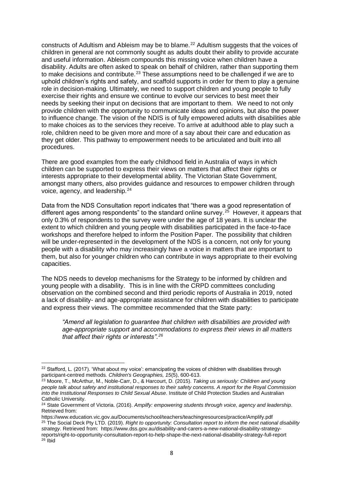constructs of Adultism and Ableism may be to blame.<sup>22</sup> Adultism suggests that the voices of children in general are not commonly sought as adults doubt their ability to provide accurate and useful information. Ableism compounds this missing voice when children have a disability. Adults are often asked to speak on behalf of children, rather than supporting them to make decisions and contribute.<sup>23</sup> These assumptions need to be challenged if we are to uphold children's rights and safety, and scaffold supports in order for them to play a genuine role in decision-making. Ultimately, we need to support children and young people to fully exercise their rights and ensure we continue to evolve our services to best meet their needs by seeking their input on decisions that are important to them. We need to not only provide children with the opportunity to communicate ideas and opinions, but also the power to influence change. The vision of the NDIS is of fully empowered adults with disabilities able to make choices as to the services they receive. To arrive at adulthood able to play such a role, children need to be given more and more of a say about their care and education as they get older. This pathway to empowerment needs to be articulated and built into all procedures.

There are good examples from the early childhood field in Australia of ways in which children can be supported to express their views on matters that affect their rights or interests appropriate to their developmental ability. The Victorian State Government, amongst many others, also provides guidance and resources to empower children through voice, agency, and leadership.<sup>24</sup>

Data from the NDS Consultation report indicates that "there was a good representation of different ages among respondents" to the standard online survey.<sup>25</sup> However, it appears that only 0.3% of respondents to the survey were under the age of 18 years. It is unclear the extent to which children and young people with disabilities participated in the face-to-face workshops and therefore helped to inform the Position Paper. The possibility that children will be under-represented in the development of the NDS is a concern, not only for young people with a disability who may increasingly have a voice in matters that are important to them, but also for younger children who can contribute in ways appropriate to their evolving capacities.

The NDS needs to develop mechanisms for the Strategy to be informed by children and young people with a disability. This is in line with the CRPD committees concluding observation on the combined second and third periodic reports of Australia in 2019, noted a lack of disability- and age-appropriate assistance for children with disabilities to participate and express their views. The committee recommended that the State party:

*"Amend all legislation to guarantee that children with disabilities are provided with age-appropriate support and accommodations to express their views in all matters that affect their rights or interests".<sup>26</sup>*

<sup>&</sup>lt;sup>22</sup> Stafford, L. (2017). 'What about my voice': emancipating the voices of children with disabilities through participant-centred methods*. Children's Geographies, 15*(5), 600-613.

<sup>23</sup> Moore, T., McArthur, M., Noble-Carr, D., & Harcourt, D. (2015). *Taking us seriously: Children and young people talk about safety and institutional responses to their safety concerns. A report for the Royal Commission into the Institutional Responses to Child Sexual Abuse*. Institute of Child Protection Studies and Australian Catholic University.

<sup>24</sup> State Government of Victoria. (2016). *Ampilfy: empowering students through voice, agency and leadership*. Retrieved from:

https://www.education.vic.gov.au/Documents/school/teachers/teachingresources/practice/Amplify.pdf <sup>25</sup> The Social Deck Pty LTD. (2019). *Right to opportunity: Consultation report to inform the next national disability strategy*. Retrieved from: https://www.dss.gov.au/disability-and-carers-a-new-national-disability-strategyreports/right-to-opportunity-consultation-report-to-help-shape-the-next-national-disability-strategy-full-report <sup>26</sup> Ibid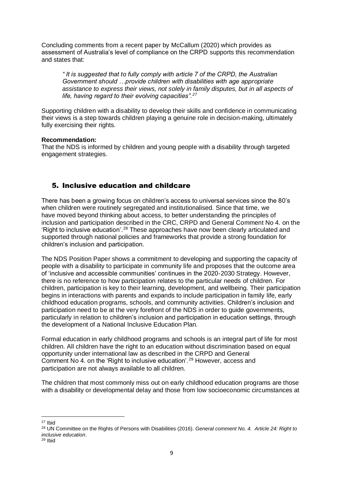Concluding comments from a recent paper by McCallum (2020) which provides as assessment of Australia's level of compliance on the CRPD supports this recommendation and states that:

*" It is suggested that to fully comply with article 7 of the CRPD, the Australian Government should …provide children with disabilities with age appropriate assistance to express their views, not solely in family disputes, but in all aspects of life, having regard to their evolving capacities".<sup>27</sup>*

Supporting children with a disability to develop their skills and confidence in communicating their views is a step towards children playing a genuine role in decision-making, ultimately fully exercising their rights.

#### **Recommendation:**

That the NDS is informed by children and young people with a disability through targeted engagement strategies.

# 5. Inclusive education and childcare

There has been a growing focus on children's access to universal services since the 80's when children were routinely segregated and institutionalised. Since that time, we have moved beyond thinking about access, to better understanding the principles of inclusion and participation described in the CRC, CRPD and General Comment No 4. on the 'Right to inclusive education'.<sup>28</sup> These approaches have now been clearly articulated and supported through national policies and frameworks that provide a strong foundation for children's inclusion and participation.

The NDS Position Paper shows a commitment to developing and supporting the capacity of people with a disability to participate in community life and proposes that the outcome area of 'inclusive and accessible communities' continues in the 2020-2030 Strategy. However, there is no reference to how participation relates to the particular needs of children. For children, participation is key to their learning, development, and wellbeing. Their participation begins in interactions with parents and expands to include participation in family life, early childhood education programs, schools, and community activities. Children's inclusion and participation need to be at the very forefront of the NDS in order to guide governments, particularly in relation to children's inclusion and participation in education settings, through the development of a National Inclusive Education Plan.

Formal education in early childhood programs and schools is an integral part of life for most children. All children have the right to an education without discrimination based on equal opportunity under international law as described in the CRPD and General Comment No 4. on the 'Right to inclusive education'.<sup>29</sup> However, access and participation are not always available to all children.

The children that most commonly miss out on early childhood education programs are those with a disability or developmental delay and those from low socioeconomic circumstances at

<sup>27</sup> Ibid

<sup>28</sup> UN Committee on the Rights of Persons with Disabilities (2016). *General comment No. 4. Article 24: Right to inclusive education*.

<sup>29</sup> Ibid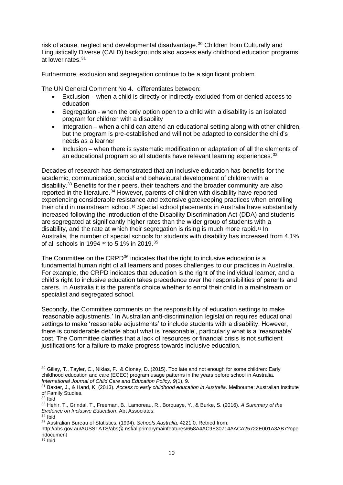risk of abuse, neglect and developmental disadvantage.<sup>30</sup> Children from Culturally and Linguistically Diverse (CALD) backgrounds also access early childhood education programs at lower rates.<sup>31</sup>

Furthermore, exclusion and segregation continue to be a significant problem.

The UN General Comment No 4. differentiates between:

- Exclusion when a child is directly or indirectly excluded from or denied access to education
- Segregation when the only option open to a child with a disability is an isolated program for children with a disability
- Integration when a child can attend an educational setting along with other children, but the program is pre-established and will not be adapted to consider the child's needs as a learner
- Inclusion when there is systematic modification or adaptation of all the elements of an educational program so all students have relevant learning experiences.<sup>32</sup>

Decades of research has demonstrated that an inclusive education has benefits for the academic, communication, social and behavioural development of children with a disability.<sup>33</sup> Benefits for their peers, their teachers and the broader community are also reported in the literature.<sup>34</sup> However, parents of children with disability have reported experiencing considerable resistance and extensive gatekeeping practices when enrolling their child in mainstream school.<sup>30</sup> Special school placements in Australia have substantially increased following the introduction of the Disability Discrimination Act (DDA) and students are segregated at significantly higher rates than the wider group of students with a disability, and the rate at which their segregation is rising is much more rapid.<sup>31</sup> In Australia, the number of special schools for students with disability has increased from 4.1% of all schools in 1994 <sup>32</sup> to 5.1% in 2019.<sup>35</sup>

The Committee on the CRPD<sup>36</sup> indicates that the right to inclusive education is a fundamental human right of all learners and poses challenges to our practices in Australia. For example, the CRPD indicates that education is the right of the individual learner, and a child's right to inclusive education takes precedence over the responsibilities of parents and carers. In Australia it is the parent's choice whether to enrol their child in a mainstream or specialist and segregated school.

Secondly, the Committee comments on the responsibility of education settings to make 'reasonable adjustments.' In Australian anti-discrimination legislation requires educational settings to make 'reasonable adjustments' to include students with a disability. However, there is considerable debate about what is 'reasonable', particularly what is a 'reasonable' cost. The Committee clarifies that a lack of resources or financial crisis is not sufficient justifications for a failure to make progress towards inclusive education.

http://abs.gov.au/AUSSTATS/abs@.nsf/allprimarymainfeatures/658A4AC9E30714AACA25722E001A3AB7?ope ndocument

<sup>30</sup> Gilley, T., Tayler, C., Niklas, F., & Cloney, D. (2015). Too late and not enough for some children: Early childhood education and care (ECEC) program usage patterns in the years before school in Australia. *International Journal of Child Care and Education Policy, 9*(1), 9.

<sup>31</sup> Baxter, J., & Hand, K. (2013). *Access to early childhood education in Australia.* Melbourne: Australian Institute of Family Studies.

 $32$  Ibid

<sup>33</sup> Hehir, T., Grindal, T., Freeman, B., Lamoreau, R., Borquaye, Y., & Burke, S. (2016). *A Summary of the Evidence on Inclusive Education*. Abt Associates.

<sup>34</sup> Ibid

<sup>35</sup> Australian Bureau of Statistics. (1994). *Schools Australia*, 4221.0. Retried from:

<sup>36</sup> Ibid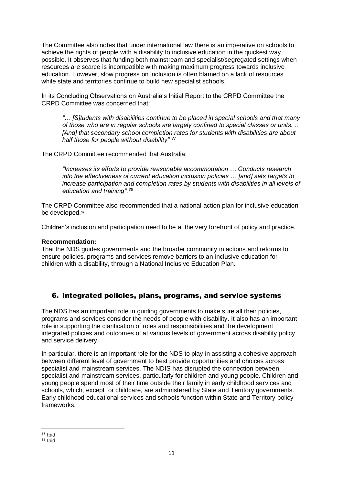The Committee also notes that under international law there is an imperative on schools to achieve the rights of people with a disability to inclusive education in the quickest way possible. It observes that funding both mainstream and specialist/segregated settings when resources are scarce is incompatible with making maximum progress towards inclusive education. However, slow progress on inclusion is often blamed on a lack of resources while state and territories continue to build new specialist schools.

In its Concluding Observations on Australia's Initial Report to the CRPD Committee the CRPD Committee was concerned that:

*"… [S]tudents with disabilities continue to be placed in special schools and that many of those who are in regular schools are largely confined to special classes or units. … [And] that secondary school completion rates for students with disabilities are about half those for people without disability".<sup>37</sup>*

The CRPD Committee recommended that Australia:

*"Increases its efforts to provide reasonable accommodation … Conducts research into the effectiveness of current education inclusion policies … [and] sets targets to increase participation and completion rates by students with disabilities in all levels of education and training".<sup>38</sup>*

The CRPD Committee also recommended that a national action plan for inclusive education be developed.<sup>37</sup>

Children's inclusion and participation need to be at the very forefront of policy and practice.

### **Recommendation:**

That the NDS guides governments and the broader community in actions and reforms to ensure policies, programs and services remove barriers to an inclusive education for children with a disability, through a National Inclusive Education Plan.

# 6. Integrated policies, plans, programs, and service systems

The NDS has an important role in guiding governments to make sure all their policies, programs and services consider the needs of people with disability. It also has an important role in supporting the clarification of roles and responsibilities and the development integrated policies and outcomes of at various levels of government across disability policy and service delivery.

In particular, there is an important role for the NDS to play in assisting a cohesive approach between different level of government to best provide opportunities and choices across specialist and mainstream services. The NDIS has disrupted the connection between specialist and mainstream services, particularly for children and young people. Children and young people spend most of their time outside their family in early childhood services and schools, which, except for childcare, are administered by State and Territory governments. Early childhood educational services and schools function within State and Territory policy frameworks.

<sup>37</sup> Ibid

<sup>38</sup> Ibid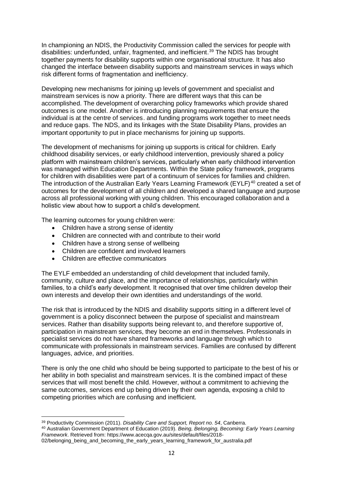In championing an NDIS, the Productivity Commission called the services for people with disabilities: underfunded, unfair, fragmented, and inefficient. <sup>39</sup> The NDIS has brought together payments for disability supports within one organisational structure. It has also changed the interface between disability supports and mainstream services in ways which risk different forms of fragmentation and inefficiency.

Developing new mechanisms for joining up levels of government and specialist and mainstream services is now a priority. There are different ways that this can be accomplished. The development of overarching policy frameworks which provide shared outcomes is one model. Another is introducing planning requirements that ensure the individual is at the centre of services. and funding programs work together to meet needs and reduce gaps. The NDS, and its linkages with the State Disability Plans, provides an important opportunity to put in place mechanisms for joining up supports.

The development of mechanisms for joining up supports is critical for children. Early childhood disability services, or early childhood intervention, previously shared a policy platform with mainstream children's services, particularly when early childhood intervention was managed within Education Departments. Within the State policy framework, programs for children with disabilities were part of a continuum of services for families and children. The introduction of the Australian Early Years Learning Framework (EYLF)<sup>40</sup> created a set of outcomes for the development of all children and developed a shared language and purpose across all professional working with young children. This encouraged collaboration and a holistic view about how to support a child's development.

The learning outcomes for young children were:

- Children have a strong sense of identity
- Children are connected with and contribute to their world
- Children have a strong sense of wellbeing
- Children are confident and involved learners
- Children are effective communicators

The EYLF embedded an understanding of child development that included family, community, culture and place, and the importance of relationships, particularly within families, to a child's early development. It recognised that over time children develop their own interests and develop their own identities and understandings of the world.

The risk that is introduced by the NDIS and disability supports sitting in a different level of government is a policy disconnect between the purpose of specialist and mainstream services. Rather than disability supports being relevant to, and therefore supportive of, participation in mainstream services, they become an end in themselves. Professionals in specialist services do not have shared frameworks and language through which to communicate with professionals in mainstream services. Families are confused by different languages, advice, and priorities.

There is only the one child who should be being supported to participate to the best of his or her ability in both specialist and mainstream services. It is the combined impact of these services that will most benefit the child. However, without a commitment to achieving the same outcomes, services end up being driven by their own agenda, exposing a child to competing priorities which are confusing and inefficient.

<sup>39</sup> Productivity Commission (2011). *Disability Care and Support, Report no. 54*, Canberra.

<sup>40</sup> Australian Government Department of Education (2019). *Being, Belonging, Becoming: Early Years Learning Framework*. Retrieved from: https://www.acecqa.gov.au/sites/default/files/2018-

<sup>02/</sup>belonging\_being\_and\_becoming\_the\_early\_years\_learning\_framework\_for\_australia.pdf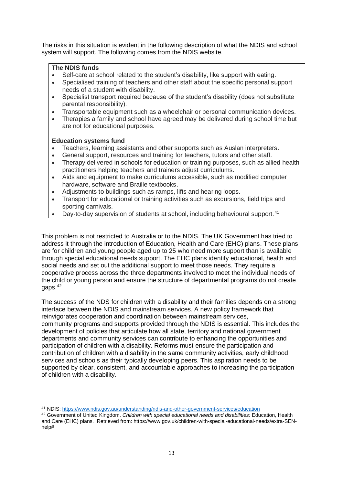The risks in this situation is evident in the following description of what the NDIS and school system will support. The following comes from the NDIS website.

## **The NDIS funds**

- Self-care at school related to the student's disability, like support with eating.
- Specialised training of teachers and other staff about the specific personal support needs of a student with disability.
- Specialist transport required because of the student's disability (does not substitute parental responsibility).
- Transportable equipment such as a wheelchair or personal communication devices.
- Therapies a family and school have agreed may be delivered during school time but are not for educational purposes.

### **Education systems fund**

- Teachers, learning assistants and other supports such as Auslan interpreters.
- General support, resources and training for teachers, tutors and other staff.
- Therapy delivered in schools for education or training purposes, such as allied health practitioners helping teachers and trainers adjust curriculums.
- Aids and equipment to make curriculums accessible, such as modified computer hardware, software and Braille textbooks.
- Adjustments to buildings such as ramps, lifts and hearing loops.
- Transport for educational or training activities such as excursions, field trips and sporting carnivals.
- Day-to-day supervision of students at school, including behavioural support.  $41$

This problem is not restricted to Australia or to the NDIS. The UK Government has tried to address it through the introduction of Education, Health and Care (EHC) plans. These plans are for children and young people aged up to 25 who need more support than is available through special educational needs support. The EHC plans identify educational, health and social needs and set out the additional support to meet those needs. They require a cooperative process across the three departments involved to meet the individual needs of the child or young person and ensure the structure of departmental programs do not create gaps. 42

The success of the NDS for children with a disability and their families depends on a strong interface between the NDIS and mainstream services. A new policy framework that reinvigorates cooperation and coordination between mainstream services, community programs and supports provided through the NDIS is essential. This includes the development of policies that articulate how all state, territory and national government departments and community services can contribute to enhancing the opportunities and participation of children with a disability. Reforms must ensure the participation and contribution of children with a disability in the same community activities, early childhood services and schools as their typically developing peers. This aspiration needs to be supported by clear, consistent, and accountable approaches to increasing the participation of children with a disability.

<sup>41</sup> NDIS[: https://www.ndis.gov.au/understanding/ndis-and-other-government-services/education](https://www.ndis.gov.au/understanding/ndis-and-other-government-services/education)

<sup>42</sup> Government of United Kingdom. *Children with special educational needs and disabilities:* Education, Health and Care (EHC) plans. Retrieved from: https://www.gov.uk/children-with-special-educational-needs/extra-SENhelp#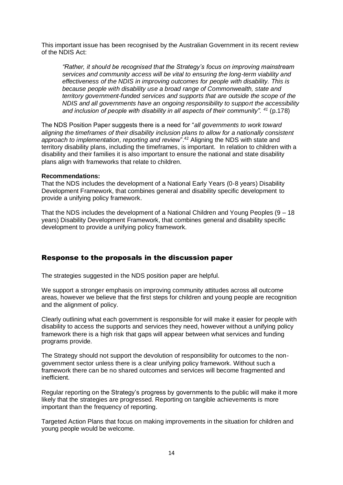This important issue has been recognised by the Australian Government in its recent review of the NDIS Act:

*"Rather, it should be recognised that the Strategy's focus on improving mainstream services and community access will be vital to ensuring the long-term viability and effectiveness of the NDIS in improving outcomes for people with disability. This is because people with disability use a broad range of Commonwealth, state and territory government-funded services and supports that are outside the scope of the NDIS and all governments have an ongoing responsibility to support the accessibility and inclusion of people with disability in all aspects of their community". <sup>41</sup>* (p.178)

The NDS Position Paper suggests there is a need for "*all governments to work toward aligning the timeframes of their disability inclusion plans to allow for a nationally consistent approach to implementation, reporting and review*".<sup>42</sup> Aligning the NDS with state and territory disability plans, including the timeframes, is important. In relation to children with a disability and their families it is also important to ensure the national and state disability plans align with frameworks that relate to children.

#### **Recommendations:**

That the NDS includes the development of a National Early Years (0-8 years) Disability Development Framework, that combines general and disability specific development to provide a unifying policy framework.

That the NDS includes the development of a National Children and Young Peoples (9 – 18 years) Disability Development Framework, that combines general and disability specific development to provide a unifying policy framework.

## Response to the proposals in the discussion paper

The strategies suggested in the NDS position paper are helpful.

We support a stronger emphasis on improving community attitudes across all outcome areas, however we believe that the first steps for children and young people are recognition and the alignment of policy.

Clearly outlining what each government is responsible for will make it easier for people with disability to access the supports and services they need, however without a unifying policy framework there is a high risk that gaps will appear between what services and funding programs provide.

The Strategy should not support the devolution of responsibility for outcomes to the nongovernment sector unless there is a clear unifying policy framework. Without such a framework there can be no shared outcomes and services will become fragmented and inefficient.

Regular reporting on the Strategy's progress by governments to the public will make it more likely that the strategies are progressed. Reporting on tangible achievements is more important than the frequency of reporting.

Targeted Action Plans that focus on making improvements in the situation for children and young people would be welcome.